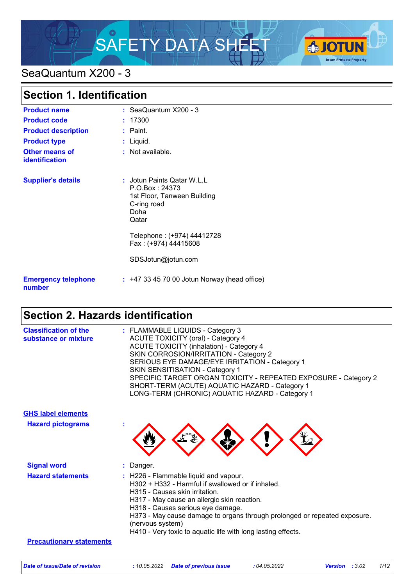# SAFETY DATA SHEET A CHOTUN



# SeaQuantum X200 - 3

| <b>Section 1. Identification</b>        |                                                                                                                                           |
|-----------------------------------------|-------------------------------------------------------------------------------------------------------------------------------------------|
| <b>Product name</b>                     | $:$ SeaQuantum $X200 - 3$                                                                                                                 |
| <b>Product code</b>                     | : 17300                                                                                                                                   |
| <b>Product description</b>              | : Paint.                                                                                                                                  |
| <b>Product type</b>                     | : Liquid.                                                                                                                                 |
| <b>Other means of</b><br>identification | : Not available.                                                                                                                          |
| <b>Supplier's details</b>               | : Jotun Paints Qatar W.L.L<br>P.O.Box: 24373<br>1st Floor, Tanween Building<br>C-ring road<br>Doha<br>Qatar<br>Telephone: (+974) 44412728 |
|                                         | Fax: (+974) 44415608                                                                                                                      |
|                                         | SDSJotun@jotun.com                                                                                                                        |
| <b>Emergency telephone</b><br>number    | $: +4733457000$ Jotun Norway (head office)                                                                                                |

# **Section 2. Hazards identification**

| <b>Classification of the</b><br>substance or mixture | : FLAMMABLE LIQUIDS - Category 3<br><b>ACUTE TOXICITY (oral) - Category 4</b><br><b>ACUTE TOXICITY (inhalation) - Category 4</b><br>SKIN CORROSION/IRRITATION - Category 2<br>SERIOUS EYE DAMAGE/EYE IRRITATION - Category 1<br><b>SKIN SENSITISATION - Category 1</b><br>SPECIFIC TARGET ORGAN TOXICITY - REPEATED EXPOSURE - Category 2<br>SHORT-TERM (ACUTE) AQUATIC HAZARD - Category 1<br>LONG-TERM (CHRONIC) AQUATIC HAZARD - Category 1 |
|------------------------------------------------------|------------------------------------------------------------------------------------------------------------------------------------------------------------------------------------------------------------------------------------------------------------------------------------------------------------------------------------------------------------------------------------------------------------------------------------------------|
| <b>GHS label elements</b>                            |                                                                                                                                                                                                                                                                                                                                                                                                                                                |
| <b>Hazard pictograms</b>                             |                                                                                                                                                                                                                                                                                                                                                                                                                                                |
| <b>Signal word</b>                                   | : Danger.                                                                                                                                                                                                                                                                                                                                                                                                                                      |
| <b>Hazard statements</b>                             | : H226 - Flammable liquid and vapour.<br>H302 + H332 - Harmful if swallowed or if inhaled.<br>H315 - Causes skin irritation.<br>H317 - May cause an allergic skin reaction.<br>H318 - Causes serious eye damage.<br>H373 - May cause damage to organs through prolonged or repeated exposure.<br>(nervous system)<br>H410 - Very toxic to aquatic life with long lasting effects.                                                              |
| <b>Precautionary statements</b>                      |                                                                                                                                                                                                                                                                                                                                                                                                                                                |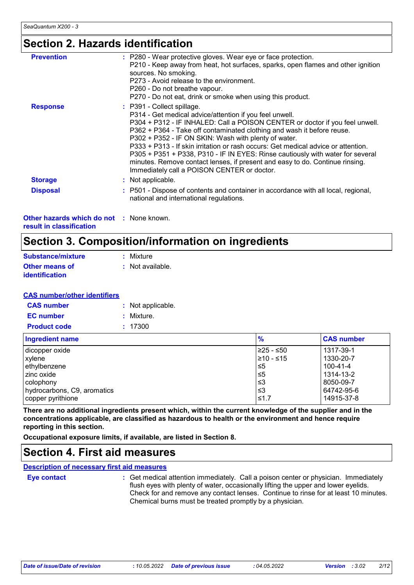### **Section 2. Hazards identification**

| : P280 - Wear protective gloves. Wear eye or face protection.<br>P210 - Keep away from heat, hot surfaces, sparks, open flames and other ignition<br>sources. No smoking.<br>P273 - Avoid release to the environment.<br>P260 - Do not breathe vapour.<br>P270 - Do not eat, drink or smoke when using this product.                                                                                                                                                                                                                                                                                          |
|---------------------------------------------------------------------------------------------------------------------------------------------------------------------------------------------------------------------------------------------------------------------------------------------------------------------------------------------------------------------------------------------------------------------------------------------------------------------------------------------------------------------------------------------------------------------------------------------------------------|
| : P391 - Collect spillage.<br>P314 - Get medical advice/attention if you feel unwell.<br>P304 + P312 - IF INHALED: Call a POISON CENTER or doctor if you feel unwell.<br>P362 + P364 - Take off contaminated clothing and wash it before reuse.<br>P302 + P352 - IF ON SKIN: Wash with plenty of water.<br>P333 + P313 - If skin irritation or rash occurs: Get medical advice or attention.<br>P305 + P351 + P338, P310 - IF IN EYES: Rinse cautiously with water for several<br>minutes. Remove contact lenses, if present and easy to do. Continue rinsing.<br>Immediately call a POISON CENTER or doctor. |
| : Not applicable.                                                                                                                                                                                                                                                                                                                                                                                                                                                                                                                                                                                             |
| : P501 - Dispose of contents and container in accordance with all local, regional,<br>national and international regulations.                                                                                                                                                                                                                                                                                                                                                                                                                                                                                 |
|                                                                                                                                                                                                                                                                                                                                                                                                                                                                                                                                                                                                               |

**Other hazards which do not :** None known. **result in classification**

# **Section 3. Composition/information on ingredients**

| Substance/mixture     | : Mixture        |
|-----------------------|------------------|
| <b>Other means of</b> | : Not available. |
| <b>identification</b> |                  |

#### **CAS number/other identifiers**

| <b>CAS</b> number   | : Not applicable. |
|---------------------|-------------------|
| <b>EC</b> number    | : Mixture.        |
| <b>Product code</b> | : 17300           |

| <b>Ingredient name</b>      | $\frac{9}{6}$ | <b>CAS number</b> |
|-----------------------------|---------------|-------------------|
| dicopper oxide              | ≥25 - ≤50     | 1317-39-1         |
| xylene                      | 1≥10 - ≤15    | 1330-20-7         |
| ethylbenzene                | ≤5            | 100-41-4          |
| I zinc oxide                | $\leq 5$      | 1314-13-2         |
| colophony                   | ב≥            | 8050-09-7         |
| hydrocarbons, C9, aromatics | וצ≥           | 64742-95-6        |
| copper pyrithione           | ≤1.7          | 14915-37-8        |

**There are no additional ingredients present which, within the current knowledge of the supplier and in the concentrations applicable, are classified as hazardous to health or the environment and hence require reporting in this section.**

**Occupational exposure limits, if available, are listed in Section 8.**

### **Section 4. First aid measures**

**Description of necessary first aid measures**

**Eye contact :**

: Get medical attention immediately. Call a poison center or physician. Immediately flush eyes with plenty of water, occasionally lifting the upper and lower eyelids. Check for and remove any contact lenses. Continue to rinse for at least 10 minutes. Chemical burns must be treated promptly by a physician.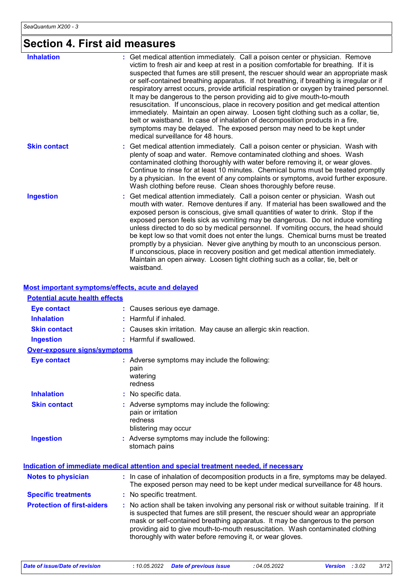# **Section 4. First aid measures**

| <b>Inhalation</b>   | : Get medical attention immediately. Call a poison center or physician. Remove<br>victim to fresh air and keep at rest in a position comfortable for breathing. If it is<br>suspected that fumes are still present, the rescuer should wear an appropriate mask<br>or self-contained breathing apparatus. If not breathing, if breathing is irregular or if<br>respiratory arrest occurs, provide artificial respiration or oxygen by trained personnel.<br>It may be dangerous to the person providing aid to give mouth-to-mouth                                                                                                                                                                                                                                                           |
|---------------------|----------------------------------------------------------------------------------------------------------------------------------------------------------------------------------------------------------------------------------------------------------------------------------------------------------------------------------------------------------------------------------------------------------------------------------------------------------------------------------------------------------------------------------------------------------------------------------------------------------------------------------------------------------------------------------------------------------------------------------------------------------------------------------------------|
|                     | resuscitation. If unconscious, place in recovery position and get medical attention<br>immediately. Maintain an open airway. Loosen tight clothing such as a collar, tie,<br>belt or waistband. In case of inhalation of decomposition products in a fire,<br>symptoms may be delayed. The exposed person may need to be kept under<br>medical surveillance for 48 hours.                                                                                                                                                                                                                                                                                                                                                                                                                    |
| <b>Skin contact</b> | : Get medical attention immediately. Call a poison center or physician. Wash with<br>plenty of soap and water. Remove contaminated clothing and shoes. Wash<br>contaminated clothing thoroughly with water before removing it, or wear gloves.<br>Continue to rinse for at least 10 minutes. Chemical burns must be treated promptly<br>by a physician. In the event of any complaints or symptoms, avoid further exposure.<br>Wash clothing before reuse. Clean shoes thoroughly before reuse.                                                                                                                                                                                                                                                                                              |
| <b>Ingestion</b>    | Get medical attention immediately. Call a poison center or physician. Wash out<br>mouth with water. Remove dentures if any. If material has been swallowed and the<br>exposed person is conscious, give small quantities of water to drink. Stop if the<br>exposed person feels sick as vomiting may be dangerous. Do not induce vomiting<br>unless directed to do so by medical personnel. If vomiting occurs, the head should<br>be kept low so that vomit does not enter the lungs. Chemical burns must be treated<br>promptly by a physician. Never give anything by mouth to an unconscious person.<br>If unconscious, place in recovery position and get medical attention immediately.<br>Maintain an open airway. Loosen tight clothing such as a collar, tie, belt or<br>waistband. |

#### **Most important symptoms/effects, acute and delayed**

| <b>Potential acute health effects</b> |                                                                                                                                                                                                                                                                                                                                                                                                                 |
|---------------------------------------|-----------------------------------------------------------------------------------------------------------------------------------------------------------------------------------------------------------------------------------------------------------------------------------------------------------------------------------------------------------------------------------------------------------------|
| <b>Eye contact</b>                    | : Causes serious eye damage.                                                                                                                                                                                                                                                                                                                                                                                    |
| <b>Inhalation</b>                     | : Harmful if inhaled.                                                                                                                                                                                                                                                                                                                                                                                           |
| <b>Skin contact</b>                   | : Causes skin irritation. May cause an allergic skin reaction.                                                                                                                                                                                                                                                                                                                                                  |
| <b>Ingestion</b>                      | : Harmful if swallowed.                                                                                                                                                                                                                                                                                                                                                                                         |
| <b>Over-exposure signs/symptoms</b>   |                                                                                                                                                                                                                                                                                                                                                                                                                 |
| <b>Eye contact</b>                    | : Adverse symptoms may include the following:<br>pain<br>watering<br>redness                                                                                                                                                                                                                                                                                                                                    |
| <b>Inhalation</b>                     | : No specific data.                                                                                                                                                                                                                                                                                                                                                                                             |
| <b>Skin contact</b>                   | : Adverse symptoms may include the following:<br>pain or irritation<br>redness<br>blistering may occur                                                                                                                                                                                                                                                                                                          |
| <b>Ingestion</b>                      | : Adverse symptoms may include the following:<br>stomach pains                                                                                                                                                                                                                                                                                                                                                  |
|                                       | <u>Indication of immediate medical attention and special treatment needed, if necessary</u>                                                                                                                                                                                                                                                                                                                     |
| <b>Notes to physician</b>             | : In case of inhalation of decomposition products in a fire, symptoms may be delayed.<br>The exposed person may need to be kept under medical surveillance for 48 hours.                                                                                                                                                                                                                                        |
| <b>Specific treatments</b>            | : No specific treatment.                                                                                                                                                                                                                                                                                                                                                                                        |
| <b>Protection of first-aiders</b>     | : No action shall be taken involving any personal risk or without suitable training. If it<br>is suspected that fumes are still present, the rescuer should wear an appropriate<br>mask or self-contained breathing apparatus. It may be dangerous to the person<br>providing aid to give mouth-to-mouth resuscitation. Wash contaminated clothing<br>thoroughly with water before removing it, or wear gloves. |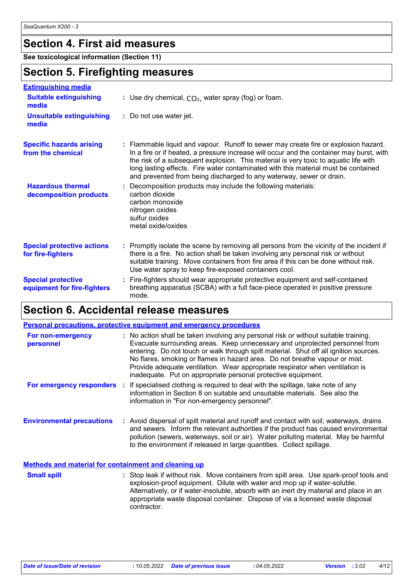### **Section 4. First aid measures**

**See toxicological information (Section 11)**

### **Section 5. Firefighting measures**

| <b>Extinguishing media</b>                               |                                                                                                                                                                                                                                                                                                                                                                                                                                       |
|----------------------------------------------------------|---------------------------------------------------------------------------------------------------------------------------------------------------------------------------------------------------------------------------------------------------------------------------------------------------------------------------------------------------------------------------------------------------------------------------------------|
| <b>Suitable extinguishing</b><br>media                   | : Use dry chemical, $CO2$ , water spray (fog) or foam.                                                                                                                                                                                                                                                                                                                                                                                |
| <b>Unsuitable extinguishing</b><br>media                 | : Do not use water jet.                                                                                                                                                                                                                                                                                                                                                                                                               |
| <b>Specific hazards arising</b><br>from the chemical     | : Flammable liquid and vapour. Runoff to sewer may create fire or explosion hazard.<br>In a fire or if heated, a pressure increase will occur and the container may burst, with<br>the risk of a subsequent explosion. This material is very toxic to aquatic life with<br>long lasting effects. Fire water contaminated with this material must be contained<br>and prevented from being discharged to any waterway, sewer or drain. |
| <b>Hazardous thermal</b><br>decomposition products       | : Decomposition products may include the following materials:<br>carbon dioxide<br>carbon monoxide<br>nitrogen oxides<br>sulfur oxides<br>metal oxide/oxides                                                                                                                                                                                                                                                                          |
| <b>Special protective actions</b><br>for fire-fighters   | : Promptly isolate the scene by removing all persons from the vicinity of the incident if<br>there is a fire. No action shall be taken involving any personal risk or without<br>suitable training. Move containers from fire area if this can be done without risk.<br>Use water spray to keep fire-exposed containers cool.                                                                                                         |
| <b>Special protective</b><br>equipment for fire-fighters | : Fire-fighters should wear appropriate protective equipment and self-contained<br>breathing apparatus (SCBA) with a full face-piece operated in positive pressure<br>mode.                                                                                                                                                                                                                                                           |

## **Section 6. Accidental release measures**

| <b>Personal precautions, protective equipment and emergency procedures</b> |  |                                                                                                                                                                                                                                                                                                                                                                                                                                                                                               |
|----------------------------------------------------------------------------|--|-----------------------------------------------------------------------------------------------------------------------------------------------------------------------------------------------------------------------------------------------------------------------------------------------------------------------------------------------------------------------------------------------------------------------------------------------------------------------------------------------|
| For non-emergency<br>personnel                                             |  | : No action shall be taken involving any personal risk or without suitable training.<br>Evacuate surrounding areas. Keep unnecessary and unprotected personnel from<br>entering. Do not touch or walk through spilt material. Shut off all ignition sources.<br>No flares, smoking or flames in hazard area. Do not breathe vapour or mist.<br>Provide adequate ventilation. Wear appropriate respirator when ventilation is<br>inadequate. Put on appropriate personal protective equipment. |
| For emergency responders                                                   |  | : If specialised clothing is required to deal with the spillage, take note of any<br>information in Section 8 on suitable and unsuitable materials. See also the<br>information in "For non-emergency personnel".                                                                                                                                                                                                                                                                             |
| <b>Environmental precautions</b>                                           |  | : Avoid dispersal of spilt material and runoff and contact with soil, waterways, drains<br>and sewers. Inform the relevant authorities if the product has caused environmental<br>pollution (sewers, waterways, soil or air). Water polluting material. May be harmful<br>to the environment if released in large quantities. Collect spillage.                                                                                                                                               |
| Methods and material for containment and cleaning up                       |  |                                                                                                                                                                                                                                                                                                                                                                                                                                                                                               |

: Stop leak if without risk. Move containers from spill area. Use spark-proof tools and explosion-proof equipment. Dilute with water and mop up if water-soluble. Alternatively, or if water-insoluble, absorb with an inert dry material and place in an appropriate waste disposal container. Dispose of via a licensed waste disposal contractor. **Small spill :**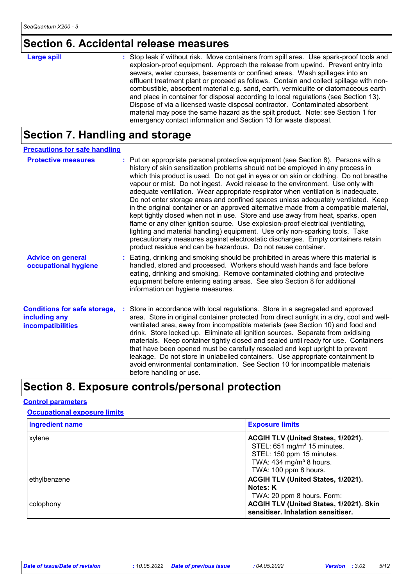# **Section 6. Accidental release measures**

| <b>Large spill</b> | : Stop leak if without risk. Move containers from spill area. Use spark-proof tools and<br>explosion-proof equipment. Approach the release from upwind. Prevent entry into<br>sewers, water courses, basements or confined areas. Wash spillages into an<br>effluent treatment plant or proceed as follows. Contain and collect spillage with non-<br>combustible, absorbent material e.g. sand, earth, vermiculite or diatomaceous earth<br>and place in container for disposal according to local regulations (see Section 13). |
|--------------------|-----------------------------------------------------------------------------------------------------------------------------------------------------------------------------------------------------------------------------------------------------------------------------------------------------------------------------------------------------------------------------------------------------------------------------------------------------------------------------------------------------------------------------------|
|                    | Dispose of via a licensed waste disposal contractor. Contaminated absorbent<br>material may pose the same hazard as the spilt product. Note: see Section 1 for<br>emergency contact information and Section 13 for waste disposal.                                                                                                                                                                                                                                                                                                |

# **Section 7. Handling and storage**

| <b>Precautions for safe handling</b>                                      |                                                                                                                                                                                                                                                                                                                                                                                                                                                                                                                                                                                                                                                                                                                                                                                                                                                                                                                                                                                                                                 |
|---------------------------------------------------------------------------|---------------------------------------------------------------------------------------------------------------------------------------------------------------------------------------------------------------------------------------------------------------------------------------------------------------------------------------------------------------------------------------------------------------------------------------------------------------------------------------------------------------------------------------------------------------------------------------------------------------------------------------------------------------------------------------------------------------------------------------------------------------------------------------------------------------------------------------------------------------------------------------------------------------------------------------------------------------------------------------------------------------------------------|
| <b>Protective measures</b>                                                | : Put on appropriate personal protective equipment (see Section 8). Persons with a<br>history of skin sensitization problems should not be employed in any process in<br>which this product is used. Do not get in eyes or on skin or clothing. Do not breathe<br>vapour or mist. Do not ingest. Avoid release to the environment. Use only with<br>adequate ventilation. Wear appropriate respirator when ventilation is inadequate.<br>Do not enter storage areas and confined spaces unless adequately ventilated. Keep<br>in the original container or an approved alternative made from a compatible material,<br>kept tightly closed when not in use. Store and use away from heat, sparks, open<br>flame or any other ignition source. Use explosion-proof electrical (ventilating,<br>lighting and material handling) equipment. Use only non-sparking tools. Take<br>precautionary measures against electrostatic discharges. Empty containers retain<br>product residue and can be hazardous. Do not reuse container. |
| <b>Advice on general</b><br>occupational hygiene                          | : Eating, drinking and smoking should be prohibited in areas where this material is<br>handled, stored and processed. Workers should wash hands and face before<br>eating, drinking and smoking. Remove contaminated clothing and protective<br>equipment before entering eating areas. See also Section 8 for additional<br>information on hygiene measures.                                                                                                                                                                                                                                                                                                                                                                                                                                                                                                                                                                                                                                                                   |
| <b>Conditions for safe storage,</b><br>including any<br>incompatibilities | Store in accordance with local regulations. Store in a segregated and approved<br>area. Store in original container protected from direct sunlight in a dry, cool and well-<br>ventilated area, away from incompatible materials (see Section 10) and food and<br>drink. Store locked up. Eliminate all ignition sources. Separate from oxidising<br>materials. Keep container tightly closed and sealed until ready for use. Containers<br>that have been opened must be carefully resealed and kept upright to prevent<br>leakage. Do not store in unlabelled containers. Use appropriate containment to<br>avoid environmental contamination. See Section 10 for incompatible materials<br>before handling or use.                                                                                                                                                                                                                                                                                                           |

# **Section 8. Exposure controls/personal protection**

#### **Control parameters**

**Occupational exposure limits**

| <b>Ingredient name</b> | <b>Exposure limits</b>                                                        |
|------------------------|-------------------------------------------------------------------------------|
| xylene                 | ACGIH TLV (United States, 1/2021).                                            |
|                        | STEL: 651 mg/m <sup>3</sup> 15 minutes.                                       |
|                        | STEL: 150 ppm 15 minutes.                                                     |
|                        | TWA: $434$ mg/m <sup>3</sup> 8 hours.                                         |
|                        | TWA: 100 ppm 8 hours.                                                         |
| ethylbenzene           | ACGIH TLV (United States, 1/2021).                                            |
|                        | Notes: K                                                                      |
|                        | TWA: 20 ppm 8 hours. Form:                                                    |
| colophony              | ACGIH TLV (United States, 1/2021). Skin<br>sensitiser. Inhalation sensitiser. |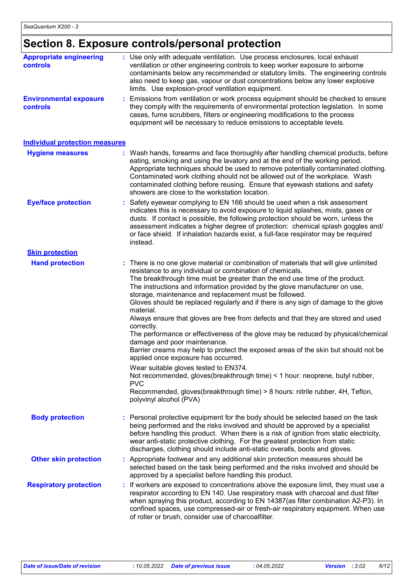# **Section 8. Exposure controls/personal protection**

| <b>Appropriate engineering</b><br>controls | : Use only with adequate ventilation. Use process enclosures, local exhaust<br>ventilation or other engineering controls to keep worker exposure to airborne<br>contaminants below any recommended or statutory limits. The engineering controls<br>also need to keep gas, vapour or dust concentrations below any lower explosive<br>limits. Use explosion-proof ventilation equipment.                                                                                                                                                                                                                                                                                                                                                                                                                                                                                                                                                                                                                                                                                               |
|--------------------------------------------|----------------------------------------------------------------------------------------------------------------------------------------------------------------------------------------------------------------------------------------------------------------------------------------------------------------------------------------------------------------------------------------------------------------------------------------------------------------------------------------------------------------------------------------------------------------------------------------------------------------------------------------------------------------------------------------------------------------------------------------------------------------------------------------------------------------------------------------------------------------------------------------------------------------------------------------------------------------------------------------------------------------------------------------------------------------------------------------|
| <b>Environmental exposure</b><br>controls  | : Emissions from ventilation or work process equipment should be checked to ensure<br>they comply with the requirements of environmental protection legislation. In some<br>cases, fume scrubbers, filters or engineering modifications to the process<br>equipment will be necessary to reduce emissions to acceptable levels.                                                                                                                                                                                                                                                                                                                                                                                                                                                                                                                                                                                                                                                                                                                                                        |
| <b>Individual protection measures</b>      |                                                                                                                                                                                                                                                                                                                                                                                                                                                                                                                                                                                                                                                                                                                                                                                                                                                                                                                                                                                                                                                                                        |
| <b>Hygiene measures</b>                    | : Wash hands, forearms and face thoroughly after handling chemical products, before<br>eating, smoking and using the lavatory and at the end of the working period.<br>Appropriate techniques should be used to remove potentially contaminated clothing.<br>Contaminated work clothing should not be allowed out of the workplace. Wash<br>contaminated clothing before reusing. Ensure that eyewash stations and safety<br>showers are close to the workstation location.                                                                                                                                                                                                                                                                                                                                                                                                                                                                                                                                                                                                            |
| <b>Eye/face protection</b>                 | : Safety eyewear complying to EN 166 should be used when a risk assessment<br>indicates this is necessary to avoid exposure to liquid splashes, mists, gases or<br>dusts. If contact is possible, the following protection should be worn, unless the<br>assessment indicates a higher degree of protection: chemical splash goggles and/<br>or face shield. If inhalation hazards exist, a full-face respirator may be required<br>instead.                                                                                                                                                                                                                                                                                                                                                                                                                                                                                                                                                                                                                                           |
| <b>Skin protection</b>                     |                                                                                                                                                                                                                                                                                                                                                                                                                                                                                                                                                                                                                                                                                                                                                                                                                                                                                                                                                                                                                                                                                        |
| <b>Hand protection</b>                     | : There is no one glove material or combination of materials that will give unlimited<br>resistance to any individual or combination of chemicals.<br>The breakthrough time must be greater than the end use time of the product.<br>The instructions and information provided by the glove manufacturer on use,<br>storage, maintenance and replacement must be followed.<br>Gloves should be replaced regularly and if there is any sign of damage to the glove<br>material.<br>Always ensure that gloves are free from defects and that they are stored and used<br>correctly.<br>The performance or effectiveness of the glove may be reduced by physical/chemical<br>damage and poor maintenance.<br>Barrier creams may help to protect the exposed areas of the skin but should not be<br>applied once exposure has occurred.<br>Wear suitable gloves tested to EN374.<br>Not recommended, gloves(breakthrough time) < 1 hour: neoprene, butyl rubber,<br><b>PVC</b><br>Recommended, gloves(breakthrough time) > 8 hours: nitrile rubber, 4H, Teflon,<br>polyvinyl alcohol (PVA) |
| <b>Body protection</b>                     | : Personal protective equipment for the body should be selected based on the task<br>being performed and the risks involved and should be approved by a specialist<br>before handling this product. When there is a risk of ignition from static electricity,<br>wear anti-static protective clothing. For the greatest protection from static<br>discharges, clothing should include anti-static overalls, boots and gloves.                                                                                                                                                                                                                                                                                                                                                                                                                                                                                                                                                                                                                                                          |
| <b>Other skin protection</b>               | : Appropriate footwear and any additional skin protection measures should be<br>selected based on the task being performed and the risks involved and should be<br>approved by a specialist before handling this product.                                                                                                                                                                                                                                                                                                                                                                                                                                                                                                                                                                                                                                                                                                                                                                                                                                                              |
| <b>Respiratory protection</b>              | If workers are exposed to concentrations above the exposure limit, they must use a<br>respirator according to EN 140. Use respiratory mask with charcoal and dust filter<br>when spraying this product, according to EN 14387(as filter combination A2-P3). In<br>confined spaces, use compressed-air or fresh-air respiratory equipment. When use<br>of roller or brush, consider use of charcoalfilter.                                                                                                                                                                                                                                                                                                                                                                                                                                                                                                                                                                                                                                                                              |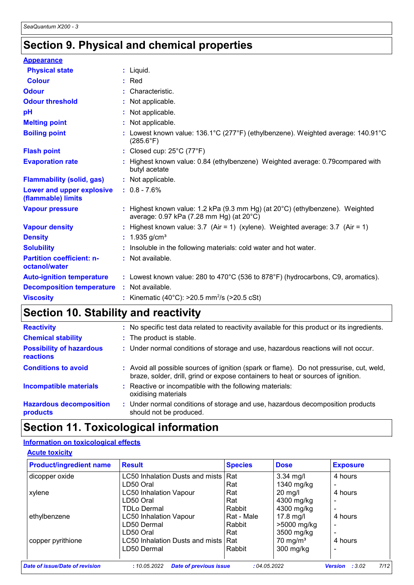# **Section 9. Physical and chemical properties**

| $:$ Liquid.                                                                                                               |
|---------------------------------------------------------------------------------------------------------------------------|
| $:$ Red                                                                                                                   |
| : Characteristic.                                                                                                         |
| : Not applicable.                                                                                                         |
| : Not applicable.                                                                                                         |
| : Not applicable.                                                                                                         |
| Lowest known value: 136.1°C (277°F) (ethylbenzene). Weighted average: 140.91°C<br>$(285.6^{\circ}F)$                      |
| : Closed cup: 25°C (77°F)                                                                                                 |
| : Highest known value: 0.84 (ethylbenzene) Weighted average: 0.79compared with<br>butyl acetate                           |
| : Not applicable.                                                                                                         |
| $: 0.8 - 7.6%$                                                                                                            |
| : Highest known value: 1.2 kPa (9.3 mm Hg) (at 20°C) (ethylbenzene). Weighted<br>average: 0.97 kPa (7.28 mm Hg) (at 20°C) |
| : Highest known value: $3.7$ (Air = 1) (xylene). Weighted average: $3.7$ (Air = 1)                                        |
| : $1.935$ g/cm <sup>3</sup>                                                                                               |
| : Insoluble in the following materials: cold water and hot water.                                                         |
| : Not available.                                                                                                          |
| : Lowest known value: 280 to 470°C (536 to 878°F) (hydrocarbons, C9, aromatics).                                          |
| : Not available.                                                                                                          |
| : Kinematic (40°C): $>20.5$ mm <sup>2</sup> /s ( $>20.5$ cSt)                                                             |
|                                                                                                                           |

# **Section 10. Stability and reactivity**

| <b>Reactivity</b>                                   | : No specific test data related to reactivity available for this product or its ingredients.                                                                                 |
|-----------------------------------------------------|------------------------------------------------------------------------------------------------------------------------------------------------------------------------------|
| <b>Chemical stability</b>                           | : The product is stable.                                                                                                                                                     |
| <b>Possibility of hazardous</b><br><b>reactions</b> | : Under normal conditions of storage and use, hazardous reactions will not occur.                                                                                            |
| <b>Conditions to avoid</b>                          | : Avoid all possible sources of ignition (spark or flame). Do not pressurise, cut, weld,<br>braze, solder, drill, grind or expose containers to heat or sources of ignition. |
| <b>Incompatible materials</b>                       | : Reactive or incompatible with the following materials:<br>oxidising materials                                                                                              |
| <b>Hazardous decomposition</b><br>products          | : Under normal conditions of storage and use, hazardous decomposition products<br>should not be produced.                                                                    |

# **Section 11. Toxicological information**

#### **Information on toxicological effects**

| <b>Product/ingredient name</b> | <b>Result</b>                                 | <b>Species</b> | <b>Dose</b>         | <b>Exposure</b>                 |
|--------------------------------|-----------------------------------------------|----------------|---------------------|---------------------------------|
| dicopper oxide                 | LC50 Inhalation Dusts and mists               | Rat            | $3.34$ mg/l         | 4 hours                         |
|                                | LD50 Oral                                     | Rat            | 1340 mg/kg          |                                 |
| xylene                         | <b>LC50 Inhalation Vapour</b>                 | Rat            | $20$ mg/l           | 4 hours                         |
|                                | LD50 Oral                                     | Rat            | 4300 mg/kg          |                                 |
|                                | <b>TDLo Dermal</b>                            | Rabbit         | 4300 mg/kg          |                                 |
| ethylbenzene                   | <b>LC50 Inhalation Vapour</b>                 | Rat - Male     | 17.8 mg/l           | 4 hours                         |
|                                | LD50 Dermal                                   | Rabbit         | >5000 mg/kg         | ۰                               |
|                                | LD50 Oral                                     | Rat            | 3500 mg/kg          |                                 |
| copper pyrithione              | LC50 Inhalation Dusts and mists               | <b>Rat</b>     | $70 \text{ mg/m}^3$ | 4 hours                         |
|                                | LD50 Dermal                                   | Rabbit         | 300 mg/kg           |                                 |
|                                |                                               |                |                     |                                 |
| Date of issue/Date of revision | <b>Date of previous issue</b><br>: 10.05.2022 | :04.05.2022    |                     | 7/12<br><b>Version</b><br>:3.02 |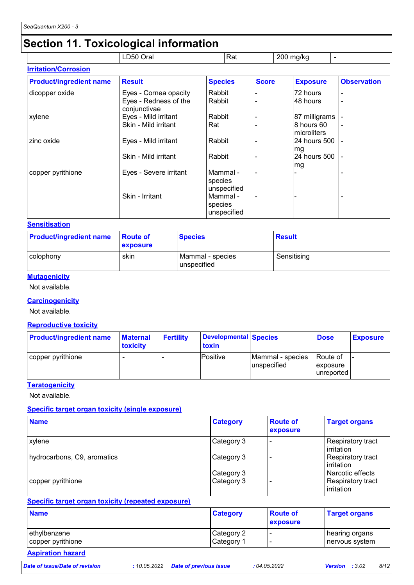# **Section 11. Toxicological information**

|                             | __<br>LD50 Oral | Rat | 200 mg/kg |  |
|-----------------------------|-----------------|-----|-----------|--|
| <b>Irritation/Corrosion</b> |                 |     |           |  |

| <b>Product/ingredient name</b> | <b>Result</b>                         | <b>Species</b>                     | <b>Score</b> | <b>Exposure</b>           | <b>Observation</b> |
|--------------------------------|---------------------------------------|------------------------------------|--------------|---------------------------|--------------------|
| dicopper oxide                 | Eyes - Cornea opacity                 | Rabbit                             |              | 72 hours                  |                    |
|                                | Eyes - Redness of the<br>conjunctivae | Rabbit                             |              | 48 hours                  |                    |
| xylene                         | Eyes - Mild irritant                  | Rabbit                             |              | 87 milligrams             |                    |
|                                | Skin - Mild irritant                  | Rat                                |              | 8 hours 60<br>microliters |                    |
| zinc oxide                     | Eyes - Mild irritant                  | Rabbit                             |              | 24 hours 500<br>lmg       |                    |
|                                | Skin - Mild irritant                  | Rabbit                             |              | 24 hours 500<br>mg        |                    |
| copper pyrithione              | Eyes - Severe irritant                | Mammal -<br>species<br>unspecified |              |                           |                    |
|                                | Skin - Irritant                       | Mammal -<br>species<br>unspecified |              |                           |                    |

#### **Sensitisation**

| <b>Product/ingredient name</b> | <b>Route of</b><br><b>exposure</b> | <b>Species</b>                  | Result      |
|--------------------------------|------------------------------------|---------------------------------|-------------|
| colophony                      | skin                               | Mammal - species<br>unspecified | Sensitising |

#### **Mutagenicity**

Not available.

#### **Carcinogenicity**

Not available.

#### **Reproductive toxicity**

| <b>Product/ingredient name</b> | <b>Maternal</b><br>toxicity | <b>Fertility</b> | Developmental Species<br>toxin |                                 | <b>Dose</b>                         | <b>Exposure</b> |
|--------------------------------|-----------------------------|------------------|--------------------------------|---------------------------------|-------------------------------------|-----------------|
| copper pyrithione              |                             |                  | <b>Positive</b>                | Mammal - species<br>unspecified | Route of<br>exposure<br>lunreported |                 |

#### **Teratogenicity**

Not available.

#### **Specific target organ toxicity (single exposure)**

| <b>Name</b>                 | <b>Category</b>          | <b>Route of</b><br>exposure | <b>Target organs</b>                                |
|-----------------------------|--------------------------|-----------------------------|-----------------------------------------------------|
| xylene                      | Category 3               |                             | <b>Respiratory tract</b><br>irritation              |
| hydrocarbons, C9, aromatics | Category 3               |                             | Respiratory tract<br>irritation                     |
| copper pyrithione           | Category 3<br>Category 3 |                             | Narcotic effects<br>Respiratory tract<br>irritation |

#### **Specific target organ toxicity (repeated exposure)**

| <b>Name</b>       | <b>Category</b> | <b>Route of</b><br><b>exposure</b> | <b>Target organs</b> |
|-------------------|-----------------|------------------------------------|----------------------|
| ethylbenzene      | Category 2      |                                    | hearing organs       |
| copper pyrithione | Category 1      |                                    | ∣nervous system      |

# **Aspiration hazard**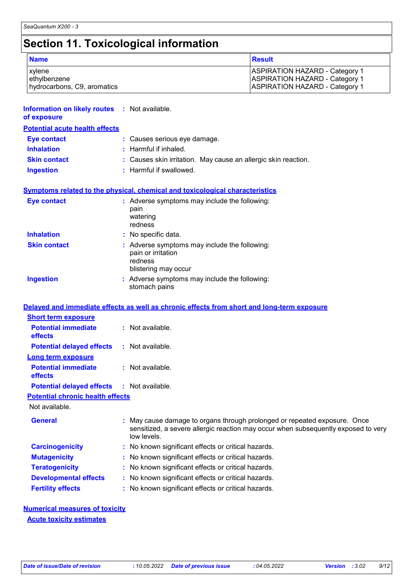# **Section 11. Toxicological information**

| <b>Name</b>                 | <b>Result</b>                         |
|-----------------------------|---------------------------------------|
| xylene                      | <b>ASPIRATION HAZARD - Category 1</b> |
| ethylbenzene                | <b>ASPIRATION HAZARD - Category 1</b> |
| hydrocarbons, C9, aromatics | <b>ASPIRATION HAZARD - Category 1</b> |

| <b>Information on likely routes : Not available.</b><br>of exposure |                                                                                                                                                                              |
|---------------------------------------------------------------------|------------------------------------------------------------------------------------------------------------------------------------------------------------------------------|
| <b>Potential acute health effects</b>                               |                                                                                                                                                                              |
| <b>Eye contact</b>                                                  | : Causes serious eye damage.                                                                                                                                                 |
| <b>Inhalation</b>                                                   | : Harmful if inhaled.                                                                                                                                                        |
| <b>Skin contact</b>                                                 | : Causes skin irritation. May cause an allergic skin reaction.                                                                                                               |
| <b>Ingestion</b>                                                    | : Harmful if swallowed.                                                                                                                                                      |
|                                                                     | <b>Symptoms related to the physical, chemical and toxicological characteristics</b>                                                                                          |
| <b>Eye contact</b>                                                  | : Adverse symptoms may include the following:<br>pain<br>watering<br>redness                                                                                                 |
| <b>Inhalation</b>                                                   | : No specific data.                                                                                                                                                          |
| <b>Skin contact</b>                                                 | : Adverse symptoms may include the following:<br>pain or irritation<br>redness<br>blistering may occur                                                                       |
| <b>Ingestion</b>                                                    | : Adverse symptoms may include the following:<br>stomach pains                                                                                                               |
|                                                                     | Delayed and immediate effects as well as chronic effects from short and long-term exposure                                                                                   |
| <b>Short term exposure</b>                                          |                                                                                                                                                                              |
| <b>Potential immediate</b><br>effects                               | : Not available.                                                                                                                                                             |
| <b>Potential delayed effects</b>                                    | : Not available.                                                                                                                                                             |
| <b>Long term exposure</b>                                           |                                                                                                                                                                              |
| <b>Potential immediate</b><br>effects                               | : Not available.                                                                                                                                                             |
| <b>Potential delayed effects</b>                                    | : Not available.                                                                                                                                                             |
| <b>Potential chronic health effects</b>                             |                                                                                                                                                                              |
| Not available.                                                      |                                                                                                                                                                              |
| <b>General</b>                                                      | May cause damage to organs through prolonged or repeated exposure. Once<br>sensitized, a severe allergic reaction may occur when subsequently exposed to very<br>low levels. |
| <b>Carcinogenicity</b>                                              | No known significant effects or critical hazards.                                                                                                                            |
| <b>Mutagenicity</b>                                                 | No known significant effects or critical hazards.                                                                                                                            |
| <b>Teratogenicity</b>                                               | No known significant effects or critical hazards.                                                                                                                            |

- **Developmental effects :** No known significant effects or critical hazards.
- **Fertility effects :** No known significant effects or critical hazards.

#### **Numerical measures of toxicity Acute toxicity estimates**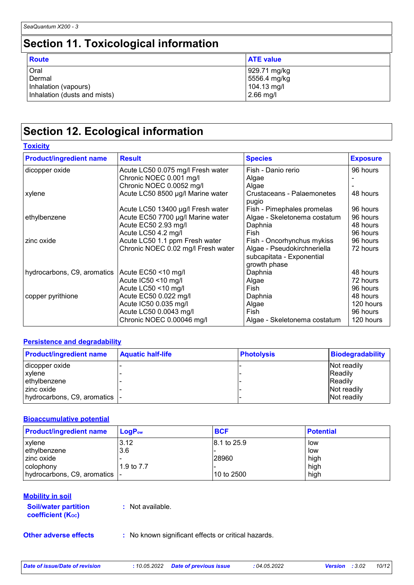# **Section 11. Toxicological information**

| <b>Route</b>                 | <b>ATE value</b> |
|------------------------------|------------------|
| Oral                         | 929.71 mg/kg     |
| Dermal                       | 5556.4 mg/kg     |
| Inhalation (vapours)         | 104.13 mg/l      |
| Inhalation (dusts and mists) | $2.66$ mg/l      |

# **Section 12. Ecological information**

**Toxicity**

| <b>Product/ingredient name</b> | <b>Result</b>                      | <b>Species</b>                      | <b>Exposure</b> |
|--------------------------------|------------------------------------|-------------------------------------|-----------------|
| dicopper oxide                 | Acute LC50 0.075 mg/l Fresh water  | Fish - Danio rerio                  | 96 hours        |
|                                | Chronic NOEC 0.001 mg/l            | Algae                               |                 |
|                                | Chronic NOEC 0.0052 mg/l           | Algae                               |                 |
| xylene                         | Acute LC50 8500 µg/l Marine water  | Crustaceans - Palaemonetes<br>pugio | 48 hours        |
|                                | Acute LC50 13400 µg/l Fresh water  | Fish - Pimephales promelas          | 96 hours        |
| ethylbenzene                   | Acute EC50 7700 µg/l Marine water  | Algae - Skeletonema costatum        | 96 hours        |
|                                | Acute EC50 2.93 mg/l               | Daphnia                             | 48 hours        |
|                                | Acute LC50 4.2 mg/l                | Fish                                | 96 hours        |
| zinc oxide                     | Acute LC50 1.1 ppm Fresh water     | Fish - Oncorhynchus mykiss          | 96 hours        |
|                                | Chronic NOEC 0.02 mg/l Fresh water | Algae - Pseudokirchneriella         | 72 hours        |
|                                |                                    | subcapitata - Exponential           |                 |
|                                |                                    | growth phase                        |                 |
| hydrocarbons, C9, aromatics    | Acute EC50 <10 mg/l                | Daphnia                             | 48 hours        |
|                                | Acute IC50 <10 mg/l                | Algae                               | 72 hours        |
|                                | Acute LC50 <10 mg/l                | Fish                                | 96 hours        |
| copper pyrithione              | Acute EC50 0.022 mg/l              | Daphnia                             | 48 hours        |
|                                | Acute IC50 0.035 mg/l              | Algae                               | 120 hours       |
|                                | Acute LC50 0.0043 mg/l             | Fish                                | 96 hours        |
|                                | Chronic NOEC 0.00046 mg/l          | Algae - Skeletonema costatum        | 120 hours       |

#### **Persistence and degradability**

| <b>Product/ingredient name</b> | <b>Aquatic half-life</b> | <b>Photolysis</b> | <b>Biodegradability</b> |
|--------------------------------|--------------------------|-------------------|-------------------------|
| dicopper oxide                 |                          |                   | Not readily             |
| xylene                         |                          |                   | <b>IReadily</b>         |
| ethylbenzene                   |                          |                   | <b>Readily</b>          |
| zinc oxide                     |                          |                   | Not readily             |
| hydrocarbons, C9, aromatics  - |                          |                   | Not readily             |

#### **Bioaccumulative potential**

| <b>Product/ingredient name</b> | $LoaPow$   | <b>BCF</b>   | <b>Potential</b> |
|--------------------------------|------------|--------------|------------------|
| <b>xylene</b>                  | 3.12       | 18.1 to 25.9 | low              |
| ethylbenzene                   | 3.6        |              | low              |
| I zinc oxide                   |            | 28960        | high             |
| l colophony                    | 1.9 to 7.7 |              | high             |
| hydrocarbons, C9, aromatics  - |            | 10 to 2500   | high             |

#### **Mobility in soil**

| <b>Soil/water partition</b> |  |
|-----------------------------|--|
| <b>coefficient (Koc)</b>    |  |

**:** Not available.

- 
- **Other adverse effects** : No known significant effects or critical hazards.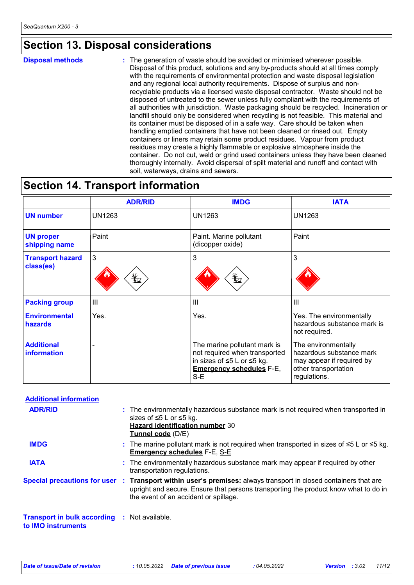### **Section 13. Disposal considerations**

**Disposal methods :**

The generation of waste should be avoided or minimised wherever possible. Disposal of this product, solutions and any by-products should at all times comply with the requirements of environmental protection and waste disposal legislation and any regional local authority requirements. Dispose of surplus and nonrecyclable products via a licensed waste disposal contractor. Waste should not be disposed of untreated to the sewer unless fully compliant with the requirements of all authorities with jurisdiction. Waste packaging should be recycled. Incineration or landfill should only be considered when recycling is not feasible. This material and its container must be disposed of in a safe way. Care should be taken when handling emptied containers that have not been cleaned or rinsed out. Empty containers or liners may retain some product residues. Vapour from product residues may create a highly flammable or explosive atmosphere inside the container. Do not cut, weld or grind used containers unless they have been cleaned thoroughly internally. Avoid dispersal of spilt material and runoff and contact with soil, waterways, drains and sewers.

### **Section 14. Transport information**

|                                      | <b>ADR/RID</b>                         | <b>IMDG</b>                                                                                                                             | <b>IATA</b>                                                                                                          |
|--------------------------------------|----------------------------------------|-----------------------------------------------------------------------------------------------------------------------------------------|----------------------------------------------------------------------------------------------------------------------|
| <b>UN number</b>                     | <b>UN1263</b>                          | <b>UN1263</b>                                                                                                                           | <b>UN1263</b>                                                                                                        |
| <b>UN proper</b><br>shipping name    | Paint                                  | Paint. Marine pollutant<br>(dicopper oxide)                                                                                             | Paint                                                                                                                |
| <b>Transport hazard</b><br>class(es) | $\mathbf{3}$<br>$\mathbf{\mathcal{L}}$ | 3<br>$\mathbf{\mathbf{\mathbf{\mathbf{\mathbf{\mathbf{\mathbf{Y}}}}}}$                                                                  | 3                                                                                                                    |
| <b>Packing group</b>                 | Ш                                      | $\mathbf{III}$                                                                                                                          | $\mathbf{III}$                                                                                                       |
| <b>Environmental</b><br>hazards      | Yes.                                   | Yes.                                                                                                                                    | Yes. The environmentally<br>hazardous substance mark is<br>not required.                                             |
| <b>Additional</b><br>information     |                                        | The marine pollutant mark is<br>not required when transported<br>in sizes of ≤5 L or ≤5 kg.<br><b>Emergency schedules F-E,</b><br>$S-E$ | The environmentally<br>hazardous substance mark<br>may appear if required by<br>other transportation<br>regulations. |

| <b>Additional information</b>                                      |                                                                                                                                                                                                                                                 |
|--------------------------------------------------------------------|-------------------------------------------------------------------------------------------------------------------------------------------------------------------------------------------------------------------------------------------------|
| <b>ADR/RID</b>                                                     | : The environmentally hazardous substance mark is not required when transported in<br>sizes of ≤5 L or ≤5 kg.<br><b>Hazard identification number 30</b><br>Tunnel code (D/E)                                                                    |
| <b>IMDG</b>                                                        | : The marine pollutant mark is not required when transported in sizes of $\leq 5$ L or $\leq 5$ kg.<br><b>Emergency schedules F-E, S-E</b>                                                                                                      |
| <b>IATA</b>                                                        | : The environmentally hazardous substance mark may appear if required by other<br>transportation regulations.                                                                                                                                   |
|                                                                    | Special precautions for user : Transport within user's premises: always transport in closed containers that are<br>upright and secure. Ensure that persons transporting the product know what to do in<br>the event of an accident or spillage. |
| Transport in bulk according : Not available.<br>to IMO instruments |                                                                                                                                                                                                                                                 |